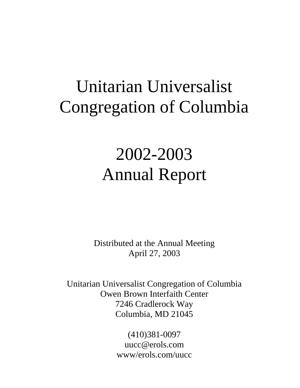# Unitarian Universalist Congregation of Columbia

# 2002-2003 Annual Report

Distributed at the Annual Meeting April 27, 2003

Unitarian Universalist Congregation of Columbia Owen Brown Interfaith Center 7246 Cradlerock Way Columbia, MD 21045

> (410)381-0097 uucc@erols.com www/erols.com/uucc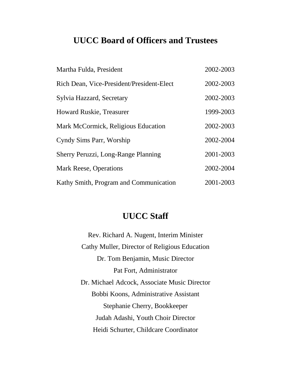# **UUCC Board of Officers and Trustees**

| Martha Fulda, President                   | 2002-2003 |
|-------------------------------------------|-----------|
| Rich Dean, Vice-President/President-Elect | 2002-2003 |
| Sylvia Hazzard, Secretary                 | 2002-2003 |
| <b>Howard Ruskie, Treasurer</b>           | 1999-2003 |
| Mark McCormick, Religious Education       | 2002-2003 |
| Cyndy Sims Parr, Worship                  | 2002-2004 |
| Sherry Peruzzi, Long-Range Planning       | 2001-2003 |
| <b>Mark Reese, Operations</b>             | 2002-2004 |
| Kathy Smith, Program and Communication    | 2001-2003 |

# **UUCC Staff**

Rev. Richard A. Nugent, Interim Minister Cathy Muller, Director of Religious Education Dr. Tom Benjamin, Music Director Pat Fort, Administrator Dr. Michael Adcock, Associate Music Director Bobbi Koons, Administrative Assistant Stephanie Cherry, Bookkeeper Judah Adashi, Youth Choir Director Heidi Schurter, Childcare Coordinator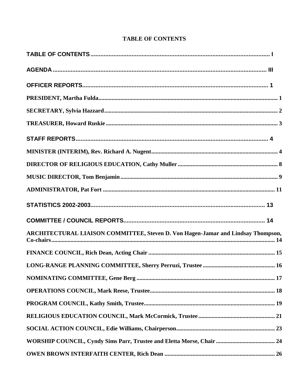<span id="page-2-0"></span>

| ARCHITECTURAL LIAISON COMMITTEE, Steven D. Von Hagen-Jamar and Lindsay Thompson, |  |
|----------------------------------------------------------------------------------|--|
|                                                                                  |  |
|                                                                                  |  |
|                                                                                  |  |
|                                                                                  |  |
|                                                                                  |  |
|                                                                                  |  |
|                                                                                  |  |
|                                                                                  |  |
|                                                                                  |  |

## **TABLE OF CONTENTS**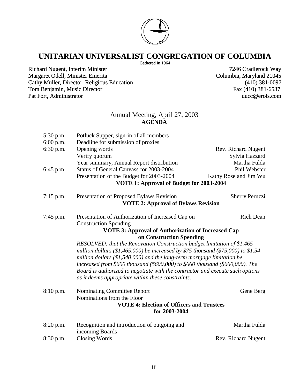

## **UNITARIAN UNIVERSALIST CONGREGATION OF COLUMBIA**

Gathered in 1964

Richard Nugent, Interim Minister 7246 Cradlerock Way Margaret Odell, Minister Emerita Columbia, Maryland 21045<br>Columbia, Maryland 21045<br>(410) 381-0097 Cathy Muller, Director, Religious Education (410) 381-0097<br>
Tom Benjamin, Music Director Fax (410) 381-6537 Tom Benjamin, Music Director Pat Fort, Administrator uucc@erols.com

## Annual Meeting, April 27, 2003 **AGENDA**

<span id="page-4-0"></span>

| 5:30 p.m.   | Potluck Supper, sign-in of all members                                                                                             |                       |
|-------------|------------------------------------------------------------------------------------------------------------------------------------|-----------------------|
| 6:00 p.m.   | Deadline for submission of proxies                                                                                                 |                       |
| 6:30 p.m.   | Opening words                                                                                                                      | Rev. Richard Nugent   |
|             | Verify quorum                                                                                                                      | Sylvia Hazzard        |
|             | Year summary, Annual Report distribution                                                                                           | Martha Fulda          |
| 6:45 p.m.   | Status of General Canvass for 2003-2004                                                                                            | Phil Webster          |
|             | Presentation of the Budget for 2003-2004                                                                                           | Kathy Rose and Jim Wu |
|             | VOTE 1: Approval of Budget for 2003-2004                                                                                           |                       |
| $7:15$ p.m. | Presentation of Proposed Bylaws Revision                                                                                           | <b>Sherry Peruzzi</b> |
|             | <b>VOTE 2: Approval of Bylaws Revision</b>                                                                                         |                       |
| $7:45$ p.m. | Presentation of Authorization of Increased Cap on<br><b>Construction Spending</b>                                                  | <b>Rich Dean</b>      |
|             | <b>VOTE 3: Approval of Authorization of Increased Cap</b>                                                                          |                       |
|             | on Construction Spending                                                                                                           |                       |
|             | RESOLVED: that the Renovation Construction budget limitation of \$1.465                                                            |                       |
|             | million dollars (\$1,465,000) be increased by \$75 thousand (\$75,000) to \$1.54                                                   |                       |
|             | million dollars $($1,540,000)$ and the long-term mortgage limitation be                                                            |                       |
|             | increased from \$600 thousand (\$600,000) to \$660 thousand (\$660,000). The                                                       |                       |
|             | Board is authorized to negotiate with the contractor and execute such options<br>as it deems appropriate within these constraints. |                       |
| 8:10 p.m.   | <b>Nominating Committee Report</b>                                                                                                 | Gene Berg             |
|             | Nominations from the Floor                                                                                                         |                       |
|             | <b>VOTE 4: Election of Officers and Trustees</b>                                                                                   |                       |
|             | for 2003-2004                                                                                                                      |                       |
| 8:20 p.m.   | Recognition and introduction of outgoing and                                                                                       | Martha Fulda          |
|             | incoming Boards                                                                                                                    |                       |
| 8:30 p.m.   | <b>Closing Words</b>                                                                                                               | Rev. Richard Nugent   |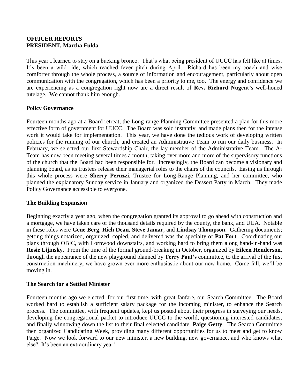#### <span id="page-6-1"></span><span id="page-6-0"></span>**OFFICER REPORTS PRESIDENT, Martha Fulda**

This year I learned to stay on a bucking bronco. That's what being president of UUCC has felt like at times. It's been a wild ride, which reached fever pitch during April. Richard has been my coach and wise comforter through the whole process, a source of information and encouragement, particularly about open communication with the congregation, which has been a priority to me, too. The energy and confidence we are experiencing as a congregation right now are a direct result of **Rev. Richard Nugent's** well-honed tutelage. We cannot thank him enough.

#### **Policy Governance**

Fourteen months ago at a Board retreat, the Long-range Planning Committee presented a plan for this more effective form of government for UUCC. The Board was sold instantly, and made plans then for the intense work it would take for implementation. This year, we have done the tedious work of developing written policies for the running of our church, and created an Administrative Team to run our daily business. In February, we selected our first Stewardship Chair, the lay member of the Administrative Team. The A-Team has now been meeting several times a month, taking over more and more of the supervisory functions of the church that the Board had been responsible for. Increasingly, the Board can become a visionary and planning board, as its trustees release their managerial roles to the chairs of the councils. Easing us through this whole process were **Sherry Peruzzi**, Trustee for Long-Range Planning, and her committee, who planned the explanatory Sunday service in January and organized the Dessert Party in March. They made Policy Governance accessible to everyone.

#### **The Building Expansion**

Beginning exactly a year ago, when the congregation granted its approval to go ahead with construction and a mortgage, we have taken care of the thousand details required by the county, the bank, and UUA. Notable in these roles were **Gene Berg**, **Rich Dean**, **Steve Jamar**, and **Lindsay Thompson**. Gathering documents; getting things notarized, organized, copied, and delivered was the specialty of **Pat Fort**. Coordinating our plans through OBIC, with Lornwood downstairs, and working hard to bring them along hand-in-hand was **Rosie Lijinsky**. From the time of the formal ground-breaking in October, organized by **Eileen Henderson**, through the appearance of the new playground planned by **Terry Paul's** committee, to the arrival of the first construction machinery, we have grown ever more enthusiastic about our new home. Come fall, we'll be moving in.

#### **The Search for a Settled Minister**

Fourteen months ago we elected, for our first time, with great fanfare, our Search Committee. The Board worked hard to establish a sufficient salary package for the incoming minister, to enhance the Search process. The committee, with frequent updates, kept us posted about their progress in surveying our needs, developing the congregational packet to introduce UUCC to the world, questioning interested candidates, and finally winnowing down the list to their final selected candidate, **Paige Getty**. The Search Committee then organized Candidating Week, providing many different opportunities for us to meet and get to know Paige. Now we look forward to our new minister, a new building, new governance, and who knows what else? It's been an extraordinary year!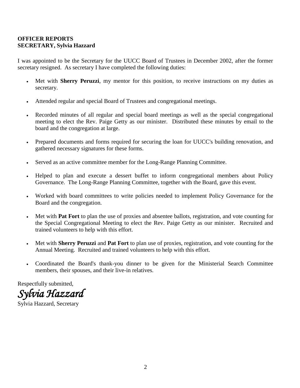#### <span id="page-7-0"></span>**OFFICER REPORTS SECRETARY, Sylvia Hazzard**

I was appointed to be the Secretary for the UUCC Board of Trustees in December 2002, after the former secretary resigned. As secretary I have completed the following duties:

- Met with **Sherry Peruzzi**, my mentor for this position, to receive instructions on my duties as secretary.
- Attended regular and special Board of Trustees and congregational meetings.
- Recorded minutes of all regular and special board meetings as well as the special congregational meeting to elect the Rev. Paige Getty as our minister. Distributed these minutes by email to the board and the congregation at large.
- Prepared documents and forms required for securing the loan for UUCC's building renovation, and gathered necessary signatures for these forms.
- Served as an active committee member for the Long-Range Planning Committee.
- Helped to plan and execute a dessert buffet to inform congregational members about Policy Governance. The Long-Range Planning Committee, together with the Board, gave this event.
- Worked with board committees to write policies needed to implement Policy Governance for the Board and the congregation.
- Met with **Pat Fort** to plan the use of proxies and absentee ballots, registration, and vote counting for the Special Congregational Meeting to elect the Rev. Paige Getty as our minister. Recruited and trained volunteers to help with this effort.
- Met with **Sherry Peruzzi** and **Pat Fort** to plan use of proxies, registration, and vote counting for the Annual Meeting. Recruited and trained volunteers to help with this effort.
- Coordinated the Board's thank-you dinner to be given for the Ministerial Search Committee members, their spouses, and their live-in relatives.

Respectfully submitted,

*Sylvia Hazzard* 

Sylvia Hazzard, Secretary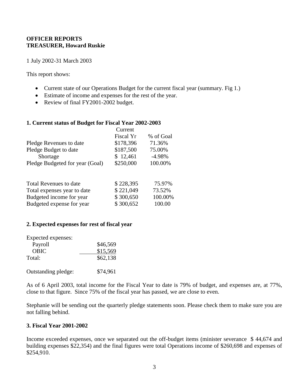#### <span id="page-8-0"></span>**OFFICER REPORTS TREASURER, Howard Ruskie**

1 July 2002-31 March 2003

This report shows:

- Current state of our Operations Budget for the current fiscal year (summary. Fig 1.)
- Estimate of income and expenses for the rest of the year.
- Review of final FY2001-2002 budget.

#### **1. Current status of Budget for Fiscal Year 2002-2003**

|                                 | Current   |           |
|---------------------------------|-----------|-----------|
|                                 | Fiscal Yr | % of Goal |
| Pledge Revenues to date         | \$178,396 | 71.36%    |
| Pledge Budget to date           | \$187,500 | 75.00%    |
| Shortage                        | \$12,461  | $-4.98%$  |
| Pledge Budgeted for year (Goal) | \$250,000 | 100.00%   |
| Total Revenues to date          | \$228,395 | 75.97%    |
| Total expenses year to date     | \$221,049 | 73.52%    |
| Budgeted income for year        | \$300,650 | 100.00%   |
| Budgeted expense for year       | \$300,652 | 100.00    |

#### **2. Expected expenses for rest of fiscal year**

Expected expenses:

| Payroll     | \$46,569 |
|-------------|----------|
| <b>OBIC</b> | \$15,569 |
| Total:      | \$62,138 |
|             |          |

Outstanding pledge: \$74,961

As of 6 April 2003, total income for the Fiscal Year to date is 79% of budget, and expenses are, at 77%, close to that figure. Since 75% of the fiscal year has passed, we are close to even.

Stephanie will be sending out the quarterly pledge statements soon. Please check them to make sure you are not falling behind.

#### **3. Fiscal Year 2001-2002**

Income exceeded expenses, once we separated out the off-budget items (minister severance \$ 44,674 and building expenses \$22,354) and the final figures were total Operations income of \$260,698 and expenses of \$254,910.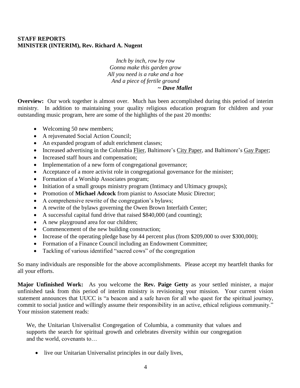#### <span id="page-9-1"></span><span id="page-9-0"></span>**STAFF REPORTS MINISTER (INTERIM), Rev. Richard A. Nugent**

*Inch by inch, row by row Gonna make this garden grow All you need is a rake and a hoe And a piece of fertile ground ~ Dave Mallet*

**Overview:** Our work together is almost over. Much has been accomplished during this period of interim ministry. In addition to maintaining your quality religious education program for children and your outstanding music program, here are some of the highlights of the past 20 months:

- Welcoming 50 new members;
- A rejuvenated Social Action Council;
- An expanded program of adult enrichment classes;
- Increased advertising in the Columbia Flier, Baltimore's City Paper, and Baltimore's Gay Paper;
- Increased staff hours and compensation;
- Implementation of a new form of congregational governance;
- Acceptance of a more activist role in congregational governance for the minister;
- Formation of a Worship Associates program;
- Initiation of a small groups ministry program (Intimacy and Ultimacy groups);
- Promotion of **Michael Adcock** from pianist to Associate Music Director;
- A comprehensive rewrite of the congregation's bylaws;
- A rewrite of the bylaws governing the Owen Brown Interfaith Center;
- A successful capital fund drive that raised \$840,000 (and counting);
- A new playground area for our children;
- Commencement of the new building construction;
- Increase of the operating pledge base by 44 percent plus (from \$209,000 to over \$300,000);
- Formation of a Finance Council including an Endowment Committee;
- Tackling of various identified "sacred cows" of the congregation

So many individuals are responsible for the above accomplishments. Please accept my heartfelt thanks for all your efforts.

**Major Unfinished Work:** As you welcome the **Rev. Paige Getty** as your settled minister, a major unfinished task from this period of interim ministry is revisioning your mission. Your current vision statement announces that UUCC is "a beacon and a safe haven for all who quest for the spiritual journey, commit to social justice and willingly assume their responsibility in an active, ethical religious community." Your mission statement reads:

We, the Unitarian Universalist Congregation of Columbia, a community that values and supports the search for spiritual growth and celebrates diversity within our congregation and the world, covenants to…

• live our Unitarian Universalist principles in our daily lives,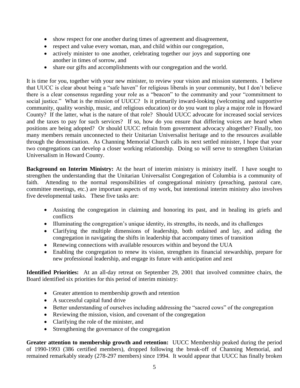- show respect for one another during times of agreement and disagreement,
- respect and value every woman, man, and child within our congregation,
- actively minister to one another, celebrating together our joys and supporting one another in times of sorrow, and
- share our gifts and accomplishments with our congregation and the world.

It is time for you, together with your new minister, to review your vision and mission statements. I believe that UUCC is clear about being a "safe haven" for religious liberals in your community, but I don't believe there is a clear consensus regarding your role as a "beacon" to the community and your "commitment to social justice." What is the mission of UUCC? Is it primarily inward-looking (welcoming and supportive community, quality worship, music, and religious education) or do you want to play a major role in Howard County? If the latter, what is the nature of that role? Should UUCC advocate for increased social services and the taxes to pay for such services? If so, how do you ensure that differing voices are heard when positions are being adopted? Or should UUCC refrain from government advocacy altogether? Finally, too many members remain unconnected to their Unitarian Universalist heritage and to the resources available through the denomination. As Channing Memorial Church calls its next settled minister, I hope that your two congregations can develop a closer working relationship. Doing so will serve to strengthen Unitarian Universalism in Howard County.

**Background on Interim Ministry:** At the heart of interim ministry is ministry itself. I have sought to strengthen the understanding that the Unitarian Universalist Congregation of Columbia is a community of faith. Attending to the normal responsibilities of congregational ministry (preaching, pastoral care, committee meetings, etc.) are important aspects of my work, but intentional interim ministry also involves five developmental tasks. These five tasks are:

- Assisting the congregation in claiming and honoring its past, and in healing its griefs and conflicts
- Illuminating the congregation's unique identity, its strengths, its needs, and its challenges
- Clarifying the multiple dimensions of leadership, both ordained and lay, and aiding the congregation in navigating the shifts in leadership that accompany times of transition
- Renewing connections with available resources within and beyond the UUA
- Enabling the congregation to renew its vision, strengthen its financial stewardship, prepare for new professional leadership, and engage its future with anticipation and zest

**Identified Priorities:** At an all-day retreat on September 29, 2001 that involved committee chairs, the Board identified six priorities for this period of interim ministry:

- Greater attention to membership growth and retention
- A successful capital fund drive
- Better understanding of ourselves including addressing the "sacred cows" of the congregation
- Reviewing the mission, vision, and covenant of the congregation
- Clarifying the role of the minister, and
- Strengthening the governance of the congregation

**Greater attention to membership growth and retention:** UUCC Membership peaked during the period of 1990-1993 (386 certified members), dropped following the break-off of Channing Memorial, and remained remarkably steady (278-297 members) since 1994. It would appear that UUCC has finally broken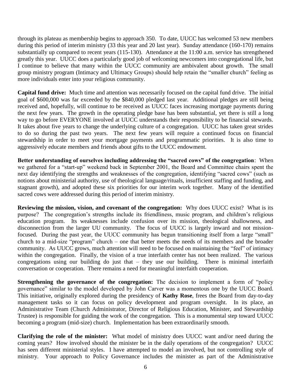through its plateau as membership begins to approach 350. To date, UUCC has welcomed 53 new members during this period of interim ministry (33 this year and 20 last year). Sunday attendance (160-170) remains substantially up compared to recent years (115-130). Attendance at the 11:00 a.m. service has strengthened greatly this year. UUCC does a particularly good job of welcoming newcomers into congregational life, but I continue to believe that many within the UUCC community are ambivalent about growth. The small group ministry program (Intimacy and Ultimacy Groups) should help retain the "smaller church" feeling as more individuals enter into your religious community.

**Capital fund drive:** Much time and attention was necessarily focused on the capital fund drive. The initial goal of \$600,000 was far exceeded by the \$840,000 pledged last year. Additional pledges are still being received and, hopefully, will continue to be received as UUCC faces increasing mortgage payments during the next few years. The growth in the operating pledge base has been substantial, yet there is still a long way to go before EVERYONE involved at UUCC understands their responsibility to be financial stewards. It takes about five years to change the underlying culture of a congregation. UUCC has taken great strides to do so during the past two years. The next few years will require a continued focus on financial stewardship in order to meet your mortgage payments and programmatic priorities. It is also time to aggressively educate members and friends about gifts to the UUCC endowment.

**Better understanding of ourselves including addressing the "sacred cows" of the congregation**: When we gathered for a "start-up" weekend back in September 2001, the Board and Committee chairs spent the next day identifying the strengths and weaknesses of the congregation, identifying "sacred cows" (such as notions about ministerial authority, use of theological language/rituals, insufficient staffing and funding, and stagnant growth), and adopted these six priorities for our interim work together. Many of the identified sacred cows were addressed during this period of interim ministry.

**Reviewing the mission, vision, and covenant of the congregation:** Why does UUCC exist? What is its purpose? The congregation's strengths include its friendliness, music program, and children's religious education program. Its weaknesses include confusion over its mission, theological shallowness, and disconnection from the larger UU community. The focus of UUCC is largely inward and not missionfocused. During the past year, the UUCC community has begun transitioning itself from a large "small" church to a mid-size "program" church – one that better meets the needs of its members and the broader community. As UUCC grows, much attention will need to be focused on maintaining the "feel" of intimacy within the congregation. Finally, the vision of a true interfaith center has not been realized. The various congregations using our building do just that – they use our building. There is minimal interfaith conversation or cooperation. There remains a need for meaningful interfaith cooperation.

**Strengthening the governance of the congregation:** The decision to implement a form of "policy" governance" similar to the model developed by John Carver was a momentous one by the UUCC Board. This initiative, originally explored during the presidency of **Kathy Rose**, frees the Board from day-to-day management tasks so it can focus on policy development and program oversight. In its place, an Administrative Team (Church Administrator, Director of Religious Education, Minister, and Stewardship Trustee) is responsible for guiding the work of the congregation. This is a monumental step toward UUCC becoming a program (mid-size) church. Implementation has been extraordinarily smooth.

**Clarifying the role of the minister:** What model of ministry does UUCC want and/or need during the coming years? How involved should the minister be in the daily operations of the congregation? UUCC has seen different ministerial styles. I have attempted to model an involved, but not controlling style of ministry. Your approach to Policy Governance includes the minister as part of the Administrative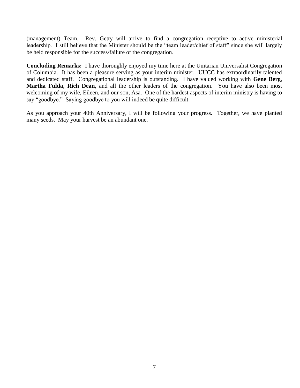(management) Team. Rev. Getty will arrive to find a congregation receptive to active ministerial leadership. I still believe that the Minister should be the "team leader/chief of staff" since she will largely be held responsible for the success/failure of the congregation.

**Concluding Remarks:** I have thoroughly enjoyed my time here at the Unitarian Universalist Congregation of Columbia. It has been a pleasure serving as your interim minister. UUCC has extraordinarily talented and dedicated staff. Congregational leadership is outstanding. I have valued working with **Gene Berg**, **Martha Fulda**, **Rich Dean**, and all the other leaders of the congregation. You have also been most welcoming of my wife, Eileen, and our son, Asa. One of the hardest aspects of interim ministry is having to say "goodbye." Saying goodbye to you will indeed be quite difficult.

As you approach your 40th Anniversary, I will be following your progress. Together, we have planted many seeds. May your harvest be an abundant one.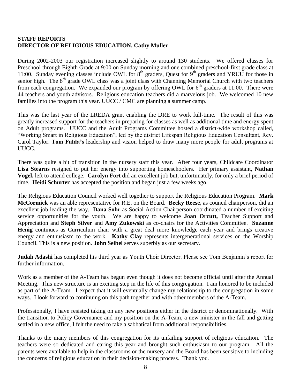#### <span id="page-13-0"></span>**STAFF REPORTS DIRECTOR OF RELIGIOUS EDUCATION, Cathy Muller**

During 2002-2003 our registration increased slightly to around 130 students. We offered classes for Preschool through Eighth Grade at 9:00 on Sunday morning and one combined preschool-first grade class at 11:00. Sunday evening classes include OWL for 8<sup>th</sup> graders, Quest for 9<sup>th</sup> graders and YRUU for those in senior high. The 8<sup>th</sup> grade OWL class was a joint class with Channing Memorial Church with two teachers from each congregation. We expanded our program by offering OWL for  $6<sup>th</sup>$  graders at 11:00. There were 44 teachers and youth advisors. Religious education teachers did a marvelous job. We welcomed 10 new families into the program this year. UUCC / CMC are planning a summer camp.

This was the last year of the LREDA grant enabling the DRE to work full-time. The result of this was greatly increased support for the teachers in preparing for classes as well as additional time and energy spent on Adult programs. UUCC and the Adult Programs Committee hosted a district-wide workshop called, "Working Smart in Religious Education", led by the district Lifespan Religious Education Consultant, Rev. Carol Taylor. **Tom Fulda's** leadership and vision helped to draw many more people for adult programs at UUCC.

There was quite a bit of transition in the nursery staff this year. After four years, Childcare Coordinator **Lisa Stearns** resigned to put her energy into supporting homeschoolers. Her primary assistant, **Nathan Vogel,** left to attend college. **Carolyn Fort** did an excellent job but, unfortunately, for only a brief period of time. **Heidi Schurter** has accepted the position and began just a few weeks ago.

The Religious Education Council worked well together to support the Religious Education Program. **Mark McCormick** was an able representative for R.E. on the Board. **Becky Reese,** as council chairperson, did an excellent job leading the way. **Dana Sohr** as Social Action Chairperson coordinated a number of exciting service opportunities for the youth. We are happy to welcome **Joan Orcutt,** Teacher Support and Appreciation and **Steph Silver** and **Amy Zukowski** as co-chairs for the Activities Committee. **Suzanne Henig** continues as Curriculum chair with a great deal more knowledge each year and brings creative energy and enthusiasm to the work. **Kathy Clay** represents intergenerational services on the Worship Council. This is a new position. **John Seibel** serves superbly as our secretary.

**Judah Adashi** has completed his third year as Youth Choir Director. Please see Tom Benjamin's report for further information.

Work as a member of the A-Team has begun even though it does not become official until after the Annual Meeting. This new structure is an exciting step in the life of this congregation. I am honored to be included as part of the A-Team. I expect that it will eventually change my relationship to the congregation in some ways. I look forward to continuing on this path together and with other members of the A-Team.

Professionally, I have resisted taking on any new positions either in the district or denominationally. With the transition to Policy Governance and my position on the A-Team, a new minister in the fall and getting settled in a new office, I felt the need to take a sabbatical from additional responsibilities.

Thanks to the many members of this congregation for its unfailing support of religious education. The teachers were so dedicated and caring this year and brought such enthusiasm to our program. All the parents were available to help in the classrooms or the nursery and the Board has been sensitive to including the concerns of religious education in their decision-making process. Thank you.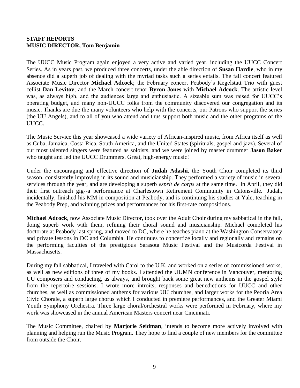#### <span id="page-14-0"></span>**STAFF REPORTS MUSIC DIRECTOR, Tom Benjamin**

The UUCC Music Program again enjoyed a very active and varied year, including the UUCC Concert Series. As in years past, we produced three concerts, under the able direction of **Susan Hardie**, who in my absence did a superb job of dealing with the myriad tasks such a series entails. The fall concert featured Associate Music Director **Michael Adcock**; the February concert Peabody's Kegelstatt Trio with guest cellist **Dan Levitov**; and the March concert tenor **Byron Jones** with **Michael Adcock**. The artistic level was, as always high, and the audiences large and enthusiastic. A sizeable sum was raised for UUCC's operating budget, and many non-UUCC folks from the community discovered our congregation and its music. Thanks are due the many volunteers who help with the concerts, our Patrons who support the series (the UU Angels), and to all of you who attend and thus support both music and the other programs of the UUCC.

The Music Service this year showcased a wide variety of African-inspired music, from Africa itself as well as Cuba, Jamaica, Costa Rica, South America, and the United States (spirituals, gospel and jazz). Several of our most talented singers were featured as soloists, and we were joined by master drummer **Jason Baker** who taught and led the UUCC Drummers. Great, high-energy music!

Under the encouraging and effective direction of **Judah Adashi**, the Youth Choir completed its third season, consistently improving in its sound and musicianship. They performed a variety of music in several services through the year, and are developing a superb *esprit de corps* at the same time. In April, they did their first outreach gig--a performance at Charlestown Retirement Community in Catonsville. Judah, incidentally, finished his MM in composition at Peabody, and is continuing his studies at Yale, teaching in the Peabody Prep, and winning prizes and performances for his first-rate compositions.

**Michael Adcock**, now Associate Music Director, took over the Adult Choir during my sabbatical in the fall, doing superb work with them, refining their choral sound and musicianship. Michael completed his doctorate at Peabody last spring, and moved to DC, where he teaches piano at the Washington Conservatory and private lessons in DC and Columbia. He continues to concertize locally and regionally and remains on the performing faculties of the prestigious Sarasota Music Festival and the Musicorda Festival in Massachusetts.

During my fall sabbatical, I traveled with Carol to the U.K. and worked on a series of commissioned works, as well as new editions of three of my books. I attended the UUMN conference in Vancouver, mentoring UU composers and conducting, as always, and brought back some great new anthems in the gospel style from the repertoire sessions. I wrote more introits, responses and benedictions for UUCC and other churches, as well as commissioned anthems for various UU churches, and larger works for the Peoria Area Civic Chorale, a superb large chorus which I conducted in premiere performances, and the Greater Miami Youth Symphony Orchestra. Three large choral/orchestral works were performed in February, where my work was showcased in the annual American Masters concert near Cincinnati.

The Music Committee, chaired by **Marjorie Seidman**, intends to become more actively involved with planning and helping run the Music Program. They hope to find a couple of new members for the committee from outside the Choir.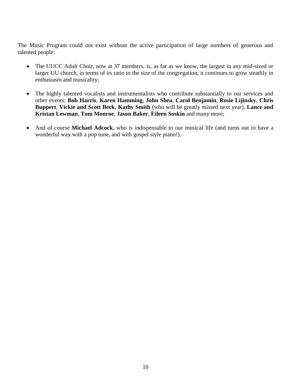The Music Program could not exist without the active participation of large numbers of generous and talented people:

- The UUCC Adult Choir, now at 37 members, is, as far as we know, the largest in any mid-sized or larger UU church, in terms of its ratio to the size of the congregation; it continues to grow steadily in enthusiasm and musicality;
- The highly talented vocalists and instrumentalists who contribute substantially to our services and other events: **Bob Harris**, **Karen Hamming**, **John Shea**, **Carol Benjamin**, **Rosie Lijinsky**, **Chris Buppert**, **Vickie and Scott Beck**, **Kathy Smith** (who will be greatly missed next year), **Lance and Kristan Lewman**, **Tom Monroe**, **Jason Baker**, **Eileen Soskin** and many more;
- And of course **Michael Adcock**, who is indispensable to our musical life (and turns out to have a wonderful way with a pop tune, and with gospel style piano!).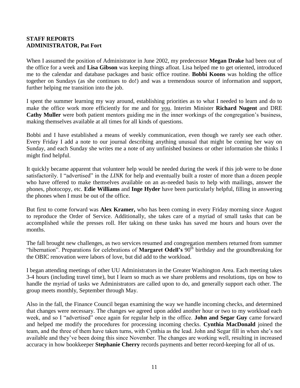#### <span id="page-16-0"></span>**STAFF REPORTS ADMINISTRATOR, Pat Fort**

When I assumed the position of Administrator in June 2002, my predecessor **Megan Drake** had been out of the office for a week and **Lisa Gibson** was keeping things afloat. Lisa helped me to get oriented, introduced me to the calendar and database packages and basic office routine. **Bobbi Koons** was holding the office together on Sundays (as she continues to do!) and was a tremendous source of information and support, further helping me transition into the job.

I spent the summer learning my way around, establishing priorities as to what I needed to learn and do to make the office work more efficiently for me and for you. Interim Minister **Richard Nugent** and DRE **Cathy Muller** were both patient mentors guiding me in the inner workings of the congregation's business, making themselves available at all times for all kinds of questions.

Bobbi and I have established a means of weekly communication, even though we rarely see each other. Every Friday I add a note to our journal describing anything unusual that might be coming her way on Sunday, and each Sunday she writes me a note of any unfinished business or other information she thinks I might find helpful.

It quickly became apparent that volunteer help would be needed during the week if this job were to be done satisfactorily. I "advertised" in the *LINK* for help and eventually built a roster of more than a dozen people who have offered to make themselves available on an as-needed basis to help with mailings, answer the phones, photocopy, etc. **Edie Williams** and **Inge Hyder** have been particularly helpful, filling in answering the phones when I must be out of the office.

But first to come forward was **Alex Kramer,** who has been coming in every Friday morning since August to reproduce the Order of Service. Additionally, she takes care of a myriad of small tasks that can be accomplished while the presses roll. Her taking on these tasks has saved me hours and hours over the months.

The fall brought new challenges, as two services resumed and congregation members returned from summer "hibernation". Preparations for celebrations of **Margaret Odell's** 90<sup>th</sup> birthday and the groundbreaking for the OBIC renovation were labors of love, but did add to the workload.

I began attending meetings of other UU Administrators in the Greater Washington Area. Each meeting takes 3-4 hours (including travel time), but I learn so much as we share problems and resolutions, tips on how to handle the myriad of tasks we Administrators are called upon to do, and generally support each other. The group meets monthly, September through May.

Also in the fall, the Finance Council began examining the way we handle incoming checks, and determined that changes were necessary. The changes we agreed upon added another hour or two to my workload each week, and so I "advertised" once again for regular help in the office. **John and Segar Guy** came forward and helped me modify the procedures for processing incoming checks. **Cynthia MacDonald** joined the team, and the three of them have taken turns, with Cynthia as the lead. John and Segar fill in when she's not available and they've been doing this since November. The changes are working well, resulting in increased accuracy in how bookkeeper **Stephanie Cherry** records payments and better record-keeping for all of us.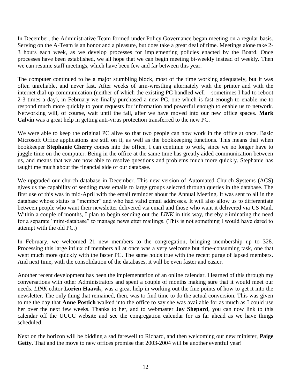In December, the Administrative Team formed under Policy Governance began meeting on a regular basis. Serving on the A-Team is an honor and a pleasure, but does take a great deal of time. Meetings alone take 2- 3 hours each week, as we develop processes for implementing policies enacted by the Board. Once processes have been established, we all hope that we can begin meeting bi-weekly instead of weekly. Then we can resume staff meetings, which have been few and far between this year.

The computer continued to be a major stumbling block, most of the time working adequately, but it was often unreliable, and never fast. After weeks of arm-wrestling alternately with the printer and with the internet dial-up communication (neither of which the existing PC handled well – sometimes I had to reboot 2-3 times a day), in February we finally purchased a new PC, one which is fast enough to enable me to respond much more quickly to your requests for information and powerful enough to enable us to network. Networking will, of course, wait until the fall, after we have moved into our new office spaces. **Mark Calvin** was a great help in getting anti-virus protection transferred to the new PC.

We were able to keep the original PC alive so that two people can now work in the office at once. Basic Microsoft Office applications are still on it, as well as the bookkeeping functions. This means that when bookkeeper **Stephanie Cherry** comes into the office, I can continue to work, since we no longer have to juggle time on the computer. Being in the office at the same time has greatly aided communication between us, and means that we are now able to resolve questions and problems much more quickly. Stephanie has taught me much about the financial side of our database.

We upgraded our church database in December. This new version of Automated Church Systems (ACS) gives us the capability of sending mass emails to large groups selected through queries in the database. The first use of this was in mid-April with the email reminder about the Annual Meeting. It was sent to all in the database whose status is "member" and who had valid email addresses. It will also allow us to differentiate between people who want their newsletter delivered via email and those who want it delivered via US Mail. Within a couple of months, I plan to begin sending out the *LINK* in this way, thereby eliminating the need for a separate "mini-database" to manage newsletter mailings. (This is not something I would have dared to attempt with the old PC.)

In February, we welcomed 21 new members to the congregation, bringing membership up to 328. Processing this large influx of members all at once was a very welcome but time-consuming task, one that went much more quickly with the faster PC. The same holds true with the recent purge of lapsed members. And next time, with the consolidation of the databases, it will be even faster and easier.

Another recent development has been the implementation of an online calendar. I learned of this through my conversations with other Administrators and spent a couple of months making sure that it would meet our needs. *LINK* editor **Lorien Haavik**, was a great help in working out the fine points of how to get it into the newsletter. The only thing that remained, then, was to find time to do the actual conversion. This was given to me the day that **Anne Postich** walked into the office to say she was available for as much as I could use her over the next few weeks. Thanks to her, and to webmaster **Jay Shepard**, you can now link to this calendar off the UUCC website and see the congregation calendar for as far ahead as we have things scheduled.

Next on the horizon will be bidding a sad farewell to Richard, and then welcoming our new minister, **Paige Getty**. That and the move to new offices promise that 2003-2004 will be another eventful year!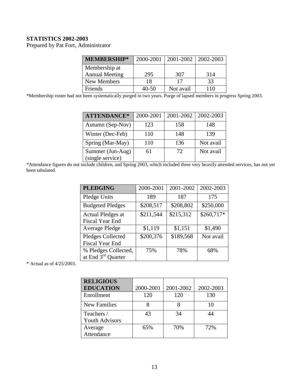### <span id="page-18-0"></span>**STATISTICS 2002-2003**

Prepared by Pat Fort, Administrator

| <b>MEMBERSHIP*</b>    | 2000-2001 | 2001-2002   2002-2003 |     |
|-----------------------|-----------|-----------------------|-----|
| Membership at         |           |                       |     |
| <b>Annual Meeting</b> | 295       | 307                   | 314 |
| New Members           | 18        | 17                    | 33  |
| Friends               | $40 - 50$ | Not avail             | 110 |

\*Membership roster had not been systematically purged in two years. Purge of lapsed members in progress Spring 2003.

| <b>ATTENDANCE*</b>                   | 2000-2001 | 2001-2002 | 2002-2003 |
|--------------------------------------|-----------|-----------|-----------|
| Autumn (Sep-Nov)                     | 123       | 158       | 148       |
| Winter (Dec-Feb)                     | 110       | 148       | 139       |
| Spring (Mar-May)                     | 110       | 136       | Not avail |
| Summer (Jun-Aug)<br>(single service) | 61        | 72        | Not avail |

\*Attendance figures do not include children, and Spring 2003, which included three very heavily attended services, has not yet been tabulated.

| <b>PLEDGING</b>                                        | 2000-2001 | 2001-2002 | 2002-2003  |
|--------------------------------------------------------|-----------|-----------|------------|
| Pledge Units                                           | 189       | 187       | 175        |
| <b>Budgeted Pledges</b>                                | \$208,517 | \$208,802 | \$250,000  |
| Actual Pledges at<br><b>Fiscal Year End</b>            | \$211,544 | \$215,312 | \$260,717* |
| Average Pledge                                         | \$1,119   | \$1,151   | \$1,490    |
| Pledges Collected<br><b>Fiscal Year End</b>            | \$200,376 | \$189,568 | Not avail  |
| % Pledges Collected,<br>at End 3 <sup>rd</sup> Quarter | 75%       | 78%       | 68%        |

\* Actual as of 4/25/2003.

| <b>RELIGIOUS</b>      |           |           |           |
|-----------------------|-----------|-----------|-----------|
| <b>EDUCATION</b>      | 2000-2001 | 2001-2002 | 2002-2003 |
| Enrollment            | 120       | 120       | 130       |
| <b>New Families</b>   | 8         |           | 10        |
| Teachers /            | 43        | 34        | 44        |
| <b>Youth Advisors</b> |           |           |           |
| Average               | 65%       | 70%       | 72%       |
| Attendance            |           |           |           |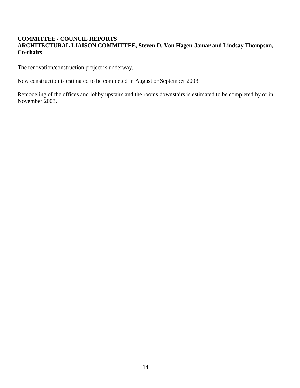#### <span id="page-19-1"></span><span id="page-19-0"></span>**COMMITTEE / COUNCIL REPORTS ARCHITECTURAL LIAISON COMMITTEE, Steven D. Von Hagen-Jamar and Lindsay Thompson, Co-chairs**

The renovation/construction project is underway.

New construction is estimated to be completed in August or September 2003.

Remodeling of the offices and lobby upstairs and the rooms downstairs is estimated to be completed by or in November 2003.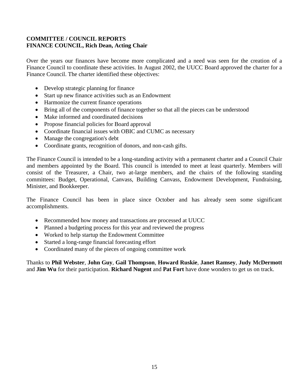#### <span id="page-20-0"></span>**COMMITTEE / COUNCIL REPORTS FINANCE COUNCIL, Rich Dean, Acting Chair**

Over the years our finances have become more complicated and a need was seen for the creation of a Finance Council to coordinate these activities. In August 2002, the UUCC Board approved the charter for a Finance Council. The charter identified these objectives:

- Develop strategic planning for finance
- Start up new finance activities such as an Endowment
- Harmonize the current finance operations
- Bring all of the components of finance together so that all the pieces can be understood
- Make informed and coordinated decisions
- Propose financial policies for Board approval
- Coordinate financial issues with OBIC and CUMC as necessary
- Manage the congregation's debt
- Coordinate grants, recognition of donors, and non-cash gifts.

The Finance Council is intended to be a long-standing activity with a permanent charter and a Council Chair and members appointed by the Board. This council is intended to meet at least quarterly. Members will consist of the Treasurer, a Chair, two at-large members, and the chairs of the following standing committees: Budget, Operational, Canvass, Building Canvass, Endowment Development, Fundraising, Minister, and Bookkeeper.

The Finance Council has been in place since October and has already seen some significant accomplishments.

- Recommended how money and transactions are processed at UUCC
- Planned a budgeting process for this year and reviewed the progress
- Worked to help startup the Endowment Committee
- Started a long-range financial forecasting effort
- Coordinated many of the pieces of ongoing committee work

Thanks to **Phil Webster**, **John Guy**, **Gail Thompson**, **Howard Ruskie**, **Janet Ramsey**, **Judy McDermott**  and **Jim Wu** for their participation. **Richard Nugent** and **Pat Fort** have done wonders to get us on track.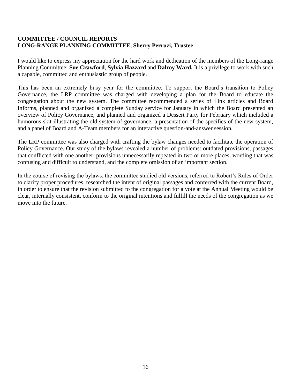#### <span id="page-21-0"></span>**COMMITTEE / COUNCIL REPORTS LONG-RANGE PLANNING COMMITTEE, Sherry Perruzi, Trustee**

I would like to express my appreciation for the hard work and dedication of the members of the Long-range Planning Committee: **Sue Crawford**, **Sylvia Hazzard** and **Dalroy Ward.** It is a privilege to work with such a capable, committed and enthusiastic group of people.

This has been an extremely busy year for the committee. To support the Board's transition to Policy Governance, the LRP committee was charged with developing a plan for the Board to educate the congregation about the new system. The committee recommended a series of Link articles and Board Informs, planned and organized a complete Sunday service for January in which the Board presented an overview of Policy Governance, and planned and organized a Dessert Party for February which included a humorous skit illustrating the old system of governance, a presentation of the specifics of the new system, and a panel of Board and A-Team members for an interactive question-and-answer session.

The LRP committee was also charged with crafting the bylaw changes needed to facilitate the operation of Policy Governance. Our study of the bylaws revealed a number of problems: outdated provisions, passages that conflicted with one another, provisions unnecessarily repeated in two or more places, wording that was confusing and difficult to understand, and the complete omission of an important section.

In the course of revising the bylaws, the committee studied old versions, referred to Robert's Rules of Order to clarify proper procedures, researched the intent of original passages and conferred with the current Board, in order to ensure that the revision submitted to the congregation for a vote at the Annual Meeting would be clear, internally consistent, conform to the original intentions and fulfill the needs of the congregation as we move into the future.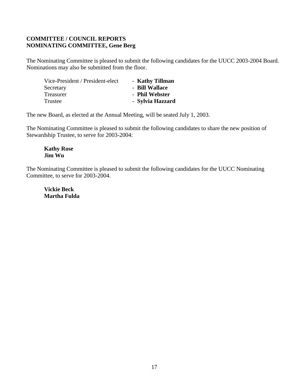#### <span id="page-22-0"></span>**COMMITTEE / COUNCIL REPORTS NOMINATING COMMITTEE, Gene Berg**

The Nominating Committee is pleased to submit the following candidates for the UUCC 2003-2004 Board. Nominations may also be submitted from the floor.

| Vice-President / President-elect | - Kathy Tillman  |
|----------------------------------|------------------|
| Secretary                        | - Bill Wallace   |
| Treasurer                        | - Phil Webster   |
| Trustee                          | - Sylvia Hazzard |

The new Board, as elected at the Annual Meeting, will be seated July 1, 2003.

The Nominating Committee is pleased to submit the following candidates to share the new position of Stewardship Trustee, to serve for 2003-2004:

**Kathy Rose Jim Wu**

The Nominating Committee is pleased to submit the following candidates for the UUCC Nominating Committee, to serve for 2003-2004.

**Vickie Beck Martha Fulda**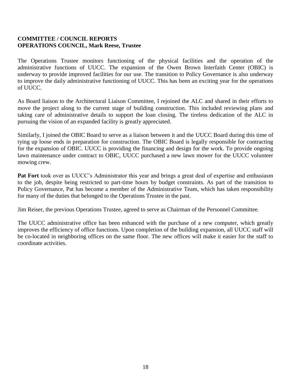#### <span id="page-23-0"></span>**COMMITTEE / COUNCIL REPORTS OPERATIONS COUNCIL, Mark Reese, Trustee**

The Operations Trustee monitors functioning of the physical facilities and the operation of the administrative functions of UUCC. The expansion of the Owen Brown Interfaith Center (OBIC) is underway to provide improved facilities for our use. The transition to Policy Governance is also underway to improve the daily administrative functioning of UUCC. This has been an exciting year for the operations of UUCC.

As Board liaison to the Architectural Liaison Committee, I rejoined the ALC and shared in their efforts to move the project along to the current stage of building construction. This included reviewing plans and taking care of administrative details to support the loan closing. The tireless dedication of the ALC in pursuing the vision of an expanded facility is greatly appreciated.

Similarly, I joined the OBIC Board to serve as a liaison between it and the UUCC Board during this time of tying up loose ends in preparation for construction. The OBIC Board is legally responsible for contracting for the expansion of OBIC. UUCC is providing the financing and design for the work. To provide ongoing lawn maintenance under contract to OBIC, UUCC purchased a new lawn mower for the UUCC volunteer mowing crew.

**Pat Fort** took over as UUCC's Administrator this year and brings a great deal of expertise and enthusiasm to the job, despite being restricted to part-time hours by budget constraints. As part of the transition to Policy Governance, Pat has become a member of the Administrative Team, which has taken responsibility for many of the duties that belonged to the Operations Trustee in the past.

Jim Reiser, the previous Operations Trustee, agreed to serve as Chairman of the Personnel Committee.

The UUCC administrative office has been enhanced with the purchase of a new computer, which greatly improves the efficiency of office functions. Upon completion of the building expansion, all UUCC staff will be co-located in neighboring offices on the same floor. The new offices will make it easier for the staff to coordinate activities.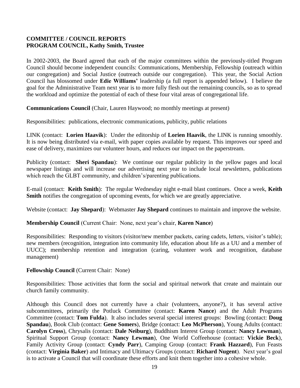#### <span id="page-24-0"></span>**COMMITTEE / COUNCIL REPORTS PROGRAM COUNCIL, Kathy Smith, Trustee**

In 2002-2003, the Board agreed that each of the major committees within the previously-titled Program Council should become independent councils: Communications, Membership, Fellowship (outreach within our congregation) and Social Justice (outreach outside our congregation). This year, the Social Action Council has blossomed under **Edie Williams'** leadership (a full report is appended below). I believe the goal for the Administrative Team next year is to more fully flesh out the remaining councils, so as to spread the workload and optimize the potential of each of these four vital areas of congregational life.

**Communications Council** (Chair, Lauren Haywood; no monthly meetings at present)

Responsibilities: publications, electronic communications, publicity, public relations

LINK (contact: **Lorien Haavik**): Under the editorship of **Lorien Haavik**, the LINK is running smoothly. It is now being distributed via e-mail, with paper copies available by request. This improves our speed and ease of delivery, maximizes our volunteer hours, and reduces our impact on the paperstream.

Publicity (contact: **Sheri Spandau**): We continue our regular publicity in the yellow pages and local newspaper listings and will increase our advertising next year to include local newsletters, publications which reach the GLBT community, and children's/parenting publications.

E-mail (contact: **Keith Smith**): The regular Wednesday night e-mail blast continues. Once a week, **Keith Smith** notifies the congregation of upcoming events, for which we are greatly appreciative.

Website (contact: **Jay Shepard**): Webmaster **Jay Shepard** continues to maintain and improve the website.

**Membership Council** (Current Chair: None, next year's chair, **Karen Nance**)

Responsibilities: Responding to visitors (visitor/new member packets, caring cadets, letters, visitor's table); new members (recognition, integration into community life, education about life as a UU and a member of UUCC); membership retention and integration (caring, volunteer work and recognition, database management)

#### **Fellowship Council** (Current Chair: None)

Responsibilities: Those activities that form the social and spiritual network that create and maintain our church family community.

Although this Council does not currently have a chair (volunteers, anyone?), it has several active subcommittees, primarily the Potluck Committee (contact: **Karen Nance**) and the Adult Programs Committee (contact: **Tom Fulda**). It also includes several special interest groups: Bowling (contact: **Doug Spandau**), Book Club (contact: **Gene Somers**), Bridge (contact: **Leo McPherson**), Young Adults (contact: **Carolyn Cross**), Chrysalis (contact: **Dale Neiburg**), Buddhism Interest Group (contact: **Nancy Lewman**), Spiritual Support Group (contact: **Nancy Lewman**), One World Coffeehouse (contact: **Vickie Beck**), Family Activity Group (contact: **Cyndy Parr**), Camping Group (contact: **Frank Hazzard**), Fun Feasts (contact: **Virginia Baker**) and Intimacy and Ultimacy Groups (contact: **Richard Nugent**). Next year's goal is to activate a Council that will coordinate these efforts and knit them together into a cohesive whole.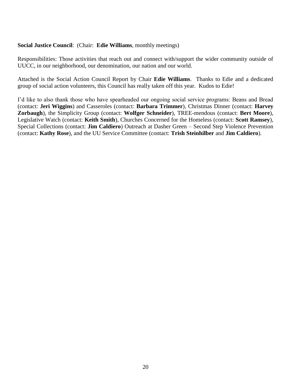#### **Social Justice Council**: (Chair: **Edie Williams**, monthly meetings)

Responsibilities: Those activities that reach out and connect with/support the wider community outside of UUCC, in our neighborhood, our denomination, our nation and our world.

Attached is the Social Action Council Report by Chair **Edie Williams**. Thanks to Edie and a dedicated group of social action volunteers, this Council has really taken off this year. Kudos to Edie!

I'd like to also thank those who have spearheaded our ongoing social service programs: Beans and Bread (contact: **Jeri Wiggins**) and Casseroles (contact: **Barbara Trimmer**), Christmas Dinner (contact: **Harvey Zorbaugh**), the Simplicity Group (contact: **Wolfger Schneider**), TREE-mendous (contact: **Bert Moore**), Legislative Watch (contact: **Keith Smith**), Churches Concerned for the Homeless (contact: **Scott Ramsey**), Special Collections (contact: **Jim Caldiero**) Outreach at Dasher Green – Second Step Violence Prevention (contact: **Kathy Rose**), and the UU Service Committee (contact: **Trish Steinhilber** and **Jim Caldiero**).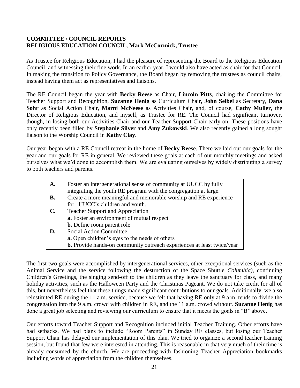#### <span id="page-26-0"></span>**COMMITTEE / COUNCIL REPORTS RELIGIOUS EDUCATION COUNCIL, Mark McCormick, Trustee**

As Trustee for Religious Education, I had the pleasure of representing the Board to the Religious Education Council, and witnessing their fine work. In an earlier year, I would also have acted as chair for that Council. In making the transition to Policy Governance, the Board began by removing the trustees as council chairs, instead having them act as representatives and liaisons.

The RE Council began the year with **Becky Reese** as Chair, **Lincoln Pitts**, chairing the Committee for Teacher Support and Recognition, **Suzanne Henig** as Curriculum Chair**, John Seibel** as Secretary, **Dana Sohr** as Social Action Chair, **Marni McNeese** as Activities Chair, and, of course, **Cathy Muller**, the Director of Religious Education, and myself, as Trustee for RE. The Council had significant turnover, though, in losing both our Activities Chair and our Teacher Support Chair early on. These positions have only recently been filled by **Stephanie Silver** and **Amy Zukowski**. We also recently gained a long sought liaison to the Worship Council in **Kathy Clay**.

Our year began with a RE Council retreat in the home of **Becky Reese**. There we laid out our goals for the year and our goals for RE in general. We reviewed these goals at each of our monthly meetings and asked ourselves what we'd done to accomplish them. We are evaluating ourselves by widely distributing a survey to both teachers and parents.

| A. | Foster an intergenerational sense of community at UUCC by fully<br>integrating the youth RE program with the congregation at large. |
|----|-------------------------------------------------------------------------------------------------------------------------------------|
| B. | Create a more meaningful and memorable worship and RE experience<br>for UUCC's children and youth.                                  |
| С. | <b>Teacher Support and Appreciation</b>                                                                                             |
|    | a. Foster an environment of mutual respect                                                                                          |
|    | <b>b.</b> Define room parent role                                                                                                   |
| D. | <b>Social Action Committee</b>                                                                                                      |
|    | <b>a.</b> Open children's eyes to the needs of others                                                                               |
|    | <b>b.</b> Provide hands-on community outreach experiences at least twice/year                                                       |

The first two goals were accomplished by intergenerational services, other exceptional services (such as the Animal Service and the service following the destruction of the Space Shuttle *Columbia)*, continuing Children's Greetings, the singing send-off to the children as they leave the sanctuary for class, and many holiday activities, such as the Halloween Party and the Christmas Pageant. We do not take credit for all of this, but nevertheless feel that these things made significant contributions to our goals. Additionally, we also reinstituted RE during the 11 a.m. service, because we felt that having RE only at 9 a.m. tends to divide the congregation into the 9 a.m. crowd with children in RE, and the 11 a.m. crowd without. **Suzanne Henig** has done a great job selecting and reviewing our curriculum to ensure that it meets the goals in "B" above.

Our efforts toward Teacher Support and Recognition included initial Teacher Training. Other efforts have had setbacks. We had plans to include "Room Parents" in Sunday RE classes, but losing our Teacher Support Chair has delayed our implementation of this plan. We tried to organize a second teacher training session, but found that few were interested in attending. This is reasonable in that very much of their time is already consumed by the church. We are proceeding with fashioning Teacher Appreciation bookmarks including words of appreciation from the children themselves.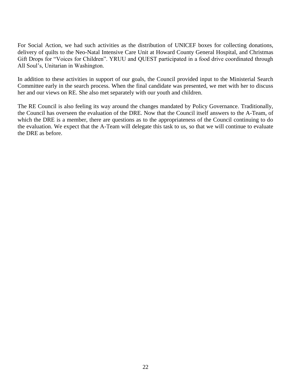For Social Action, we had such activities as the distribution of UNICEF boxes for collecting donations, delivery of quilts to the Neo-Natal Intensive Care Unit at Howard County General Hospital, and Christmas Gift Drops for "Voices for Children". YRUU and QUEST participated in a food drive coordinated through All Soul's, Unitarian in Washington.

In addition to these activities in support of our goals, the Council provided input to the Ministerial Search Committee early in the search process. When the final candidate was presented, we met with her to discuss her and our views on RE. She also met separately with our youth and children.

The RE Council is also feeling its way around the changes mandated by Policy Governance. Traditionally, the Council has overseen the evaluation of the DRE. Now that the Council itself answers to the A-Team, of which the DRE is a member, there are questions as to the appropriateness of the Council continuing to do the evaluation. We expect that the A-Team will delegate this task to us, so that we will continue to evaluate the DRE as before.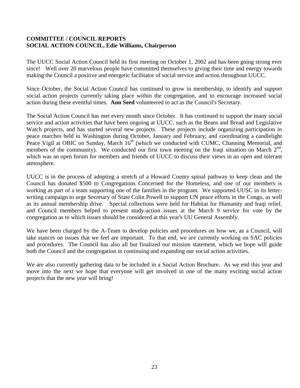#### <span id="page-28-0"></span>**COMMITTEE / COUNCIL REPORTS SOCIAL ACTION COUNCIL, Edie Williams, Chairperson**

The UUCC Social Action Council held its first meeting on October 1, 2002 and has been going strong ever since! Well over 20 marvelous people have committed themselves to giving their time and energy towards making the Council a positive and energetic facilitator of social service and action throughout UUCC.

Since October, the Social Action Council has continued to grow in membership, to identify and support social action projects currently taking place within the congregation, and to encourage increased social action during these eventful times. **Ann Seed** volunteered to act as the Council's Secretary.

The Social Action Council has met every month since October. It has continued to support the many social service and action activities that have been ongoing at UUCC, such as the Beans and Bread and Legislative Watch projects, and has started several new projects. These projects include organizing participation in peace marches held in Washington during October, January and February; and coordinating a candlelight Peace Vigil at OBIC on Sunday, March  $16<sup>th</sup>$  (which we conducted with CUMC, Channing Memorial, and members of the community). We conducted our first town meeting on the Iraqi situation on March  $2<sup>nd</sup>$ , which was an open forum for members and friends of UUCC to discuss their views in an open and tolerant atmosphere.

UUCC is in the process of adopting a stretch of a Howard County spinal pathway to keep clean and the Council has donated \$500 to Congregations Concerned for the Homeless, and one of our members is working as part of a team supporting one of the families in the program. We supported UUSC in its letterwriting campaign to urge Secretary of State Colin Powell to support UN peace efforts in the Congo, as well as its annual membership drive. Special collections were held for Habitat for Humanity and Iraqi relief, and Council members helped to present study-action issues at the March 9 service for vote by the congregation as to which issues should be considered at this year's UU General Assembly.

We have been charged by the A-Team to develop policies and procedures on how we, as a Council, will take stances on issues that we feel are important. To that end, we are currently working on SAC policies and procedures. The Council has also all but finalized our mission statement, which we hope will guide both the Council and the congregation in continuing and expanding our social action activities.

We are also currently gathering data to be included in a Social Action Brochure. As we end this year and move into the next we hope that everyone will get involved in one of the many exciting social action projects that the new year will bring!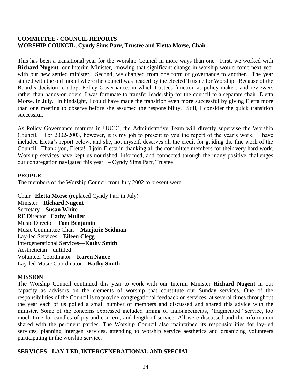#### <span id="page-29-0"></span>**COMMITTEE / COUNCIL REPORTS WORSHIP COUNCIL, Cyndy Sims Parr, Trustee and Eletta Morse, Chair**

This has been a transitional year for the Worship Council in more ways than one. First, we worked with **Richard Nugent**, our Interim Minister, knowing that significant change in worship would come next year with our new settled minister. Second, we changed from one form of governance to another. The year started with the old model where the council was headed by the elected Trustee for Worship. Because of the Board's decision to adopt Policy Governance, in which trustees function as policy-makers and reviewers rather than hands-on doers, I was fortunate to transfer leadership for the council to a separate chair, Eletta Morse, in July. In hindsight, I could have made the transition even more successful by giving Eletta more than one meeting to observe before she assumed the responsibility. Still, I consider the quick transition successful.

As Policy Governance matures in UUCC, the Administrative Team will directly supervise the Worship Council. For 2002-2003, however, it is my job to present to you the report of the year's work. I have included Eletta's report below, and she, not myself, deserves all the credit for guiding the fine work of the Council. Thank you, Eletta! I join Eletta in thanking all the committee members for their very hard work. Worship services have kept us nourished, informed, and connected through the many positive challenges our congregation navigated this year. – Cyndy Sims Parr, Trustee

#### **PEOPLE**

The members of the Worship Council from July 2002 to present were:

Chair –**Eletta Morse** (replaced Cyndy Parr in July) Minister – **Richard Nugent** Secretary – **Susan White** RE Director –**Cathy Muller** Music Director –**Tom Benjamin** Music Committee Chair—**Marjorie Seidman** Lay-led Services—**Eileen Clegg** Intergenerational Services—**Kathy Smith** Aesthetician—unfilled Volunteer Coordinator – **Karen Nance** Lay-led Music Coordinator – **Kathy Smith**

#### **MISSION**

The Worship Council continued this year to work with our Interim Minister **Richard Nugent** in our capacity as advisors on the elements of worship that constitute our Sunday services. One of the responsibilities of the Council is to provide congregational feedback on services: at several times throughout the year each of us polled a small number of members and discussed and shared this advice with the minister. Some of the concerns expressed included timing of announcements, "fragmented" service, too much time for candles of joy and concern, and length of service. All were discussed and the information shared with the pertinent parties. The Worship Council also maintained its responsibilities for lay-led services, planning intergen services, attending to worship service aesthetics and organizing volunteers participating in the worship service.

#### **SERVICES: LAY-LED, INTERGENERATIONAL AND SPECIAL**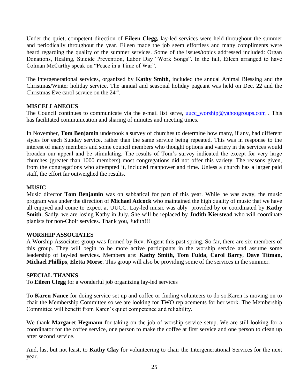Under the quiet, competent direction of **Eileen Clegg,** lay-led services were held throughout the summer and periodically throughout the year. Eileen made the job seem effortless and many compliments were heard regarding the quality of the summer services. Some of the issues/topics addressed included: Organ Donations, Healing, Suicide Prevention, Labor Day "Work Songs". In the fall, Eileen arranged to have Colman McCarthy speak on "Peace in a Time of War".

The intergenerational services, organized by **Kathy Smith**, included the annual Animal Blessing and the Christmas/Winter holiday service. The annual and seasonal holiday pageant was held on Dec. 22 and the Christmas Eve carol service on the  $24<sup>th</sup>$ .

#### **MISCELLANEOUS**

The Council continues to communicate via the e-mail list serve, [uucc\\_worship@yahoogroups.com](mailto:uucc_worship@yahoogroups.com). This has facilitated communication and sharing of minutes and meeting times.

In November, **Tom Benjamin** undertook a survey of churches to determine how many, if any, had different styles for each Sunday service, rather than the same service being repeated. This was in response to the interest of many members and some council members who thought options and variety in the services would broaden our appeal and be stimulating. The results of Tom's survey indicated the except for very large churches (greater than 1000 members) most congregations did not offer this variety. The reasons given, from the congregations who attempted it, included manpower and time. Unless a church has a larger paid staff, the effort far outweighed the results.

#### **MUSIC**

Music director **Tom Benjamin** was on sabbatical for part of this year. While he was away, the music program was under the direction of **Michael Adcock** who maintained the high quality of music that we have all enjoyed and come to expect at UUCC. Lay-led music was ably provided by or coordinated by **Kathy Smith**. Sadly, we are losing Kathy in July. She will be replaced by **Judith Kierstead** who will coordinate pianists for non-Choir services. Thank you, Judith!!!

#### **WORSHIP ASSOCIATES**

A Worship Associates group was formed by Rev. Nugent this past spring. So far, there are six members of this group. They will begin to be more active participants in the worship service and assume some leadership of lay-led services. Members are: **Kathy Smith**, **Tom Fulda**, **Carol Barry**, **Dave Titman**, **Michael Phillips**, **Eletta Morse**. This group will also be providing some of the services in the summer.

#### **SPECIAL THANKS**

To **Eileen Clegg** for a wonderful job organizing lay-led services

To **Karen Nance** for doing service set up and coffee or finding volunteers to do so.Karen is moving on to chair the Membership Committee so we are looking for TWO replacements for her work. The Membership Committee will benefit from Karen's quiet competence and reliability.

We thank **Margaret Hegmann** for taking on the job of worship service setup. We are still looking for a coordinator for the coffee service, one person to make the coffee at first service and one person to clean up after second service.

And, last but not least, to **Kathy Clay** for volunteering to chair the Intergenerational Services for the next year.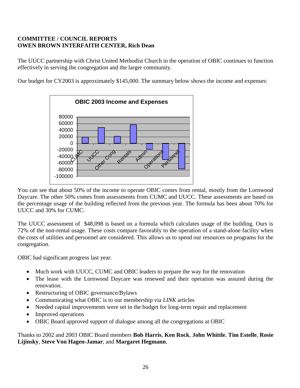#### <span id="page-31-0"></span>**COMMITTEE / COUNCIL REPORTS OWEN BROWN INTERFAITH CENTER, Rich Dean**

The UUCC partnership with Christ United Methodist Church in the operation of OBIC continues to function effectively in serving the congregation and the larger community.

Our budget for CY2003 is approximately \$145,000. The summary below shows the income and expenses:



You can see that about 50% of the income to operate OBIC comes from rental, mostly from the Lornwood Daycare. The other 50% comes from assessments from CUMC and UUCC. These assessments are based on the percentage usage of the building reflected from the previous year. The formula has been about 70% for UUCC and 30% for CUMC.

The UUCC assessment of \$48,098 is based on a formula which calculates usage of the building. Ours is 72% of the non-rental usage. These costs compare favorably to the operation of a stand-alone facility when the costs of utilities and personnel are considered. This allows us to spend our resources on programs for the congregation.

OBIC had significant progress last year.

- Much work with UUCC, CUMC and OBIC leaders to prepare the way for the renovation
- The lease with the Lornwood Daycare was renewed and their operation was assured during the renovation.
- Restructuring of OBIC governance/Bylaws
- Communicating what OBIC is to our membership via *LINK* articles
- Needed capital improvements were set in the budget for long-term repair and replacement
- Improved operations
- OBIC Board approved support of dialogue among all the congregations at OBIC

Thanks to 2002 and 2003 OBIC Board members **Bob Harris**, **Ken Rock**, **John Whittle**, **Tim Estelle**, **Rosie Lijinsky**, **Steve Von Hagen-Jamar**, and **Margaret Hegmann**.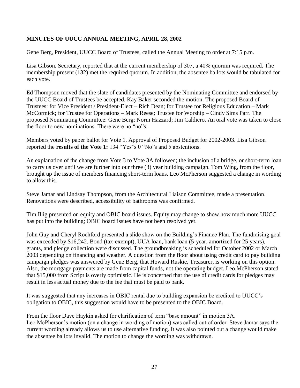#### <span id="page-32-0"></span>**MINUTES OF UUCC ANNUAL MEETING, APRIL 28, 2002**

Gene Berg, President, UUCC Board of Trustees, called the Annual Meeting to order at 7:15 p.m.

Lisa Gibson, Secretary, reported that at the current membership of 307, a 40% quorum was required. The membership present (132) met the required quorum. In addition, the absentee ballots would be tabulated for each vote.

Ed Thompson moved that the slate of candidates presented by the Nominating Committee and endorsed by the UUCC Board of Trustees be accepted. Kay Baker seconded the motion. The proposed Board of Trustees: for Vice President / President-Elect – Rich Dean; for Trustee for Religious Education – Mark McCormick; for Trustee for Operations – Mark Reese; Trustee for Worship – Cindy Sims Parr. The proposed Nominating Committee: Gene Berg; Norm Hazzard; Jim Caldiero. An oral vote was taken to close the floor to new nominations. There were no "no"s.

Members voted by paper ballot for Vote 1, Approval of Proposed Budget for 2002-2003. Lisa Gibson reported the **results of the Vote 1:** 134 "Yes"s 0 "No"s and 5 abstentions.

An explanation of the change from Vote 3 to Vote 3A followed; the inclusion of a bridge, or short-term loan to carry us over until we are further into our three (3) year building campaign. Tom Wing, from the floor, brought up the issue of members financing short-term loans. Leo McPherson suggested a change in wording to allow this.

Steve Jamar and Lindsay Thompson, from the Architectural Liaison Committee, made a presentation. Renovations were described, accessibility of bathrooms was confirmed.

Tim Illig presented on equity and OBIC board issues. Equity may change to show how much more UUCC has put into the building; OBIC board issues have not been resolved yet.

John Guy and Cheryl Rochford presented a slide show on the Building's Finance Plan. The fundraising goal was exceeded by \$16,242. Bond (tax-exempt), UUA loan, bank loan (5-year, amortized for 25 years), grants, and pledge collection were discussed. The groundbreaking is scheduled for October 2002 or March 2003 depending on financing and weather. A question from the floor about using credit card to pay building campaign pledges was answered by Gene Berg, that Howard Ruskie, Treasurer, is working on this option. Also, the mortgage payments are made from capital funds, not the operating budget. Leo McPherson stated that \$15,000 from Script is overly optimistic. He is concerned that the use of credit cards for pledges may result in less actual money due to the fee that must be paid to bank.

It was suggested that any increases in OBIC rental due to building expansion be credited to UUCC's obligation to OBIC, this suggestion would have to be presented to the OBIC Board.

From the floor Dave Haykin asked for clarification of term "base amount" in motion 3A. Leo McPherson's motion (on a change in wording of motion) was called out of order. Steve Jamar says the current wording already allows us to use alternative funding. It was also pointed out a change would make the absentee ballots invalid. The motion to change the wording was withdrawn.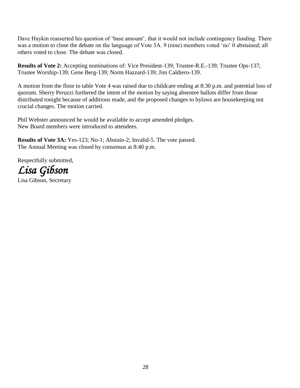Dave Haykin reasserted his question of 'base amount', that it would not include contingency funding. There was a motion to close the debate on the language of Vote 3A. 9 (nine) members voted 'no' 0 abstained; all others voted to close. The debate was closed.

**Results of Vote 2:** Accepting nominations of: Vice President-139; Trustee-R.E.-139; Trustee Ops-137; Trustee Worship-139; Gene Berg-139; Norm Hazzard-139; Jim Caldiero-139.

A motion from the floor to table Vote 4 was raised due to childcare ending at 8:30 p.m. and potential loss of quorum. Sherry Peruzzi furthered the intent of the motion by saying absentee ballots differ from those distributed tonight because of additions made, and the proposed changes to bylaws are housekeeping not crucial changes. The motion carried.

Phil Webster announced he would be available to accept amended pledges. New Board members were introduced to attendees.

**Results of Vote 3A:** Yes-123; No-1; Abstain-2; Invalid-5. The vote passed. The Annual Meeting was closed by consensus at 8:40 p.m.

Respectfully submitted,

*Lisa Gibson* 

Lisa Gibson, Secretary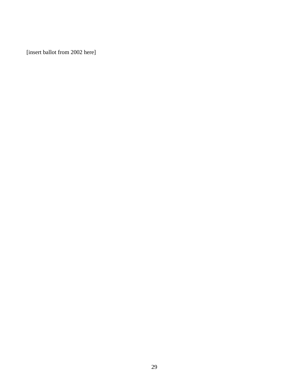[insert ballot from 2002 here]